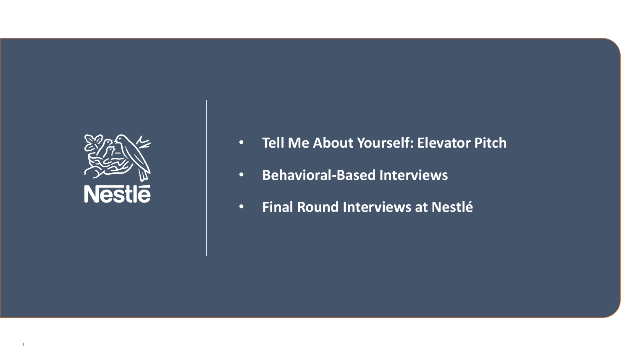

- **Tell Me About Yourself: Elevator Pitch**
- **Behavioral-Based Interviews**
- **Final Round Interviews at Nestlé**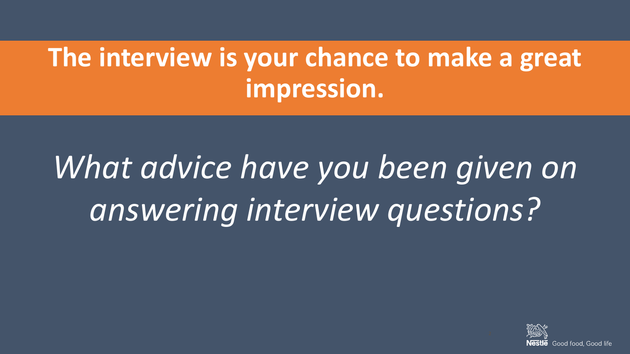## **The interview is your chance to make a great impression.**

# *What advice have you been given on answering interview questions?*

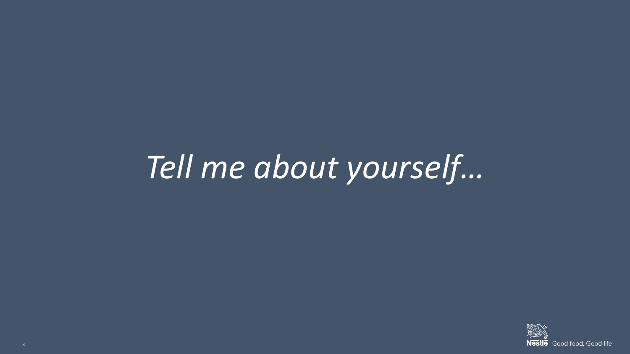# *Tell me about yourself…*

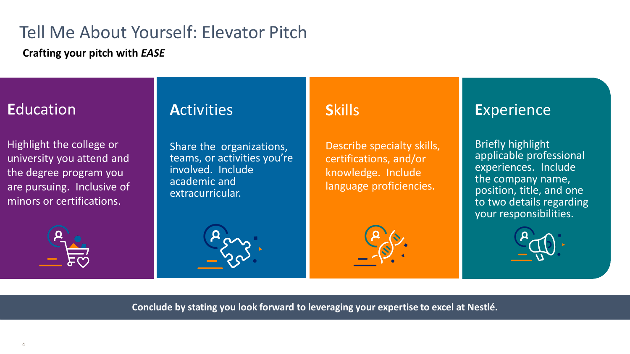## Tell Me About Yourself: Elevator Pitch

**Crafting your pitch with** *EASE*

## **E**ducation

Highlight the college or university you attend and the degree program you are pursuing. Inclusive of minors or certifications.

## **A**ctivities

Share the organizations, teams, or activities you're involved. Include academic and extracurricular.

## **S**kills

Describe specialty skills, certifications, and/or knowledge. Include language proficiencies.

## **E**xperience

Briefly highlight applicable professional experiences. Include the company name, position, title, and one to two details regarding your responsibilities.



**Conclude by stating you look forward to leveraging your expertise to excel at Nestlé***.*

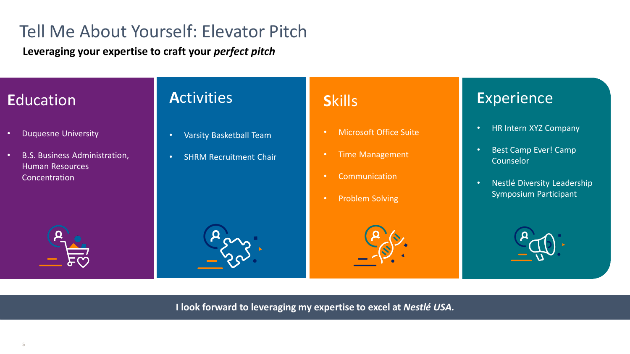## Tell Me About Yourself: Elevator Pitch

**Leveraging your expertise to craft your** *perfect pitch*

## **E**ducation

- Duquesne University
- B.S. Business Administration, Human Resources **Concentration**

## **A**ctivities

- Varsity Basketball Team
- SHRM Recruitment Chair

## **S**kills

- Microsoft Office Suite
- Time Management
- Communication
- Problem Solving



- HR Intern XYZ Company
- Best Camp Ever! Camp Counselor
- Nestlé Diversity Leadership Symposium Participant









**I look forward to leveraging my expertise to excel at** *Nestlé USA.*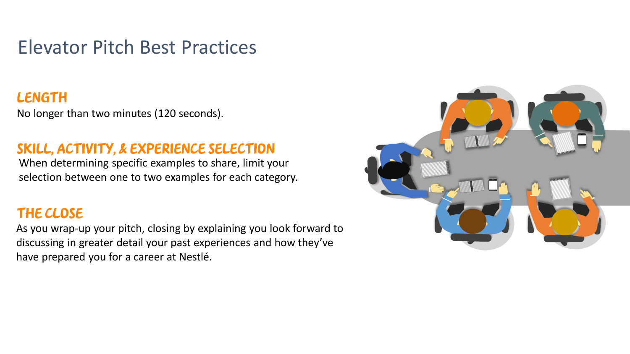## Elevator Pitch Best Practices

#### **LENGTH**

No longer than two minutes (120 seconds).

#### Skill, Activity, & Experience Selection

When determining specific examples to share, limit your selection between one to two examples for each category.

#### The Close

As you wrap-up your pitch, closing by explaining you look forward to discussing in greater detail your past experiences and how they've have prepared you for a career at Nestlé.

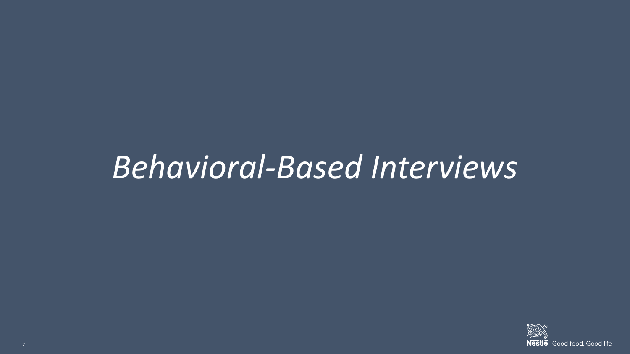## *Behavioral-Based Interviews*

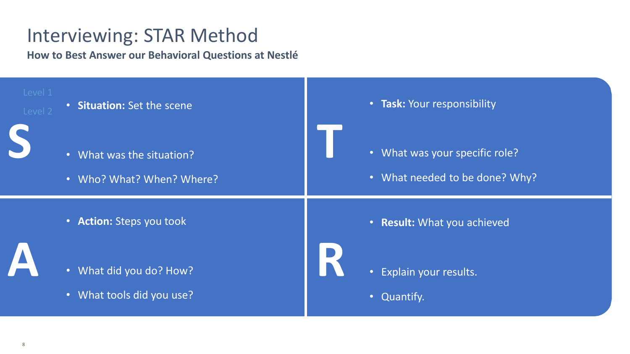## Interviewing: STAR Method

**How to Best Answer our Behavioral Questions at Nestlé**

| Level 1<br>Level 2 | • Situation: Set the scene                             | • Task: Your responsibility                                      |
|--------------------|--------------------------------------------------------|------------------------------------------------------------------|
|                    | • What was the situation?<br>• Who? What? When? Where? | • What was your specific role?<br>• What needed to be done? Why? |
|                    | • Action: Steps you took                               | • Result: What you achieved                                      |
|                    | • What did you do? How?<br>. What tools did you use?   | • Explain your results.<br>• Quantify.                           |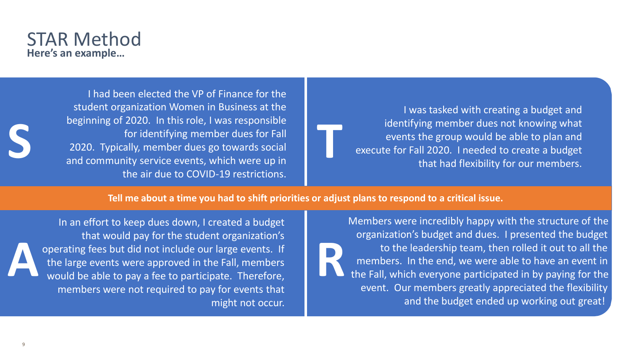#### STAR Method **Here's an example…**

I had been elected the VP of Finance for the student organization Women in Business at the beginning of 2020. In this role, I was responsible for identifying member dues for Fall 2020. Typically, member dues go towards social beginning of 2020. In this role, I was responsible<br>for identifying member dues for Fall<br>2020. Typically, member dues go towards social<br>and community service events, which were up in the air due to COVID-19 restrictions.

I was tasked with creating a budget and identifying member dues not knowing what events the group would be able to plan and execute for Fall 2020. I needed to create a budget that had flexibility for our members.

**Tell me about a time you had to shift priorities or adjust plans to respond to a critical issue.** 

In an effort to keep dues down, I created a budget that would pay for the student organization's operating fees but did not include our large events. If the large events were approved in the Fall, members would be able to pay a fee to participate. Therefore, members were not required to pay for events that might not occur. **A R**

Members were incredibly happy with the structure of the organization's budget and dues. I presented the budget to the leadership team, then rolled it out to all the members. In the end, we were able to have an event in the Fall, which everyone participated in by paying for the event. Our members greatly appreciated the flexibility and the budget ended up working out great!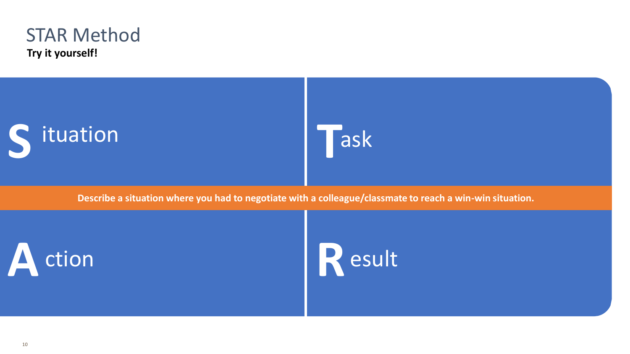

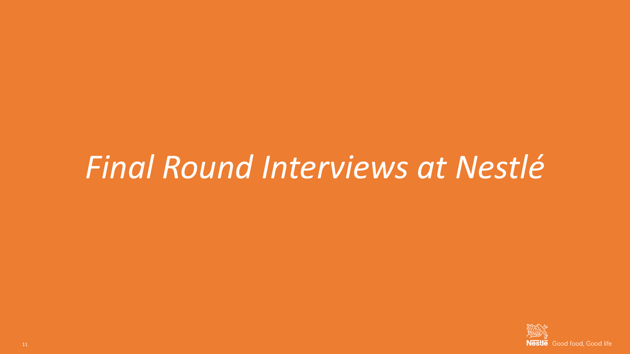## *Final Round Interviews at Nestlé*

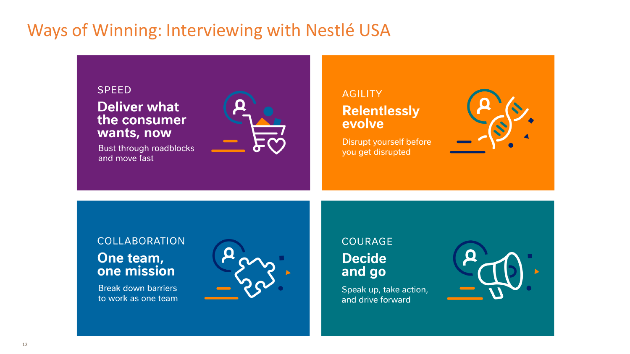## Ways of Winning: Interviewing with Nestlé USA

#### **SPEED**

**Deliver what** the consumer wants, now

Bust through roadblocks and move fast



#### **AGILITY Relentlessly** evolve

Disrupt yourself before you get disrupted



#### **COLLABORATION** One team, one mission

**Break down barriers** to work as one team



#### **COURAGE Decide** and go

Speak up, take action, and drive forward

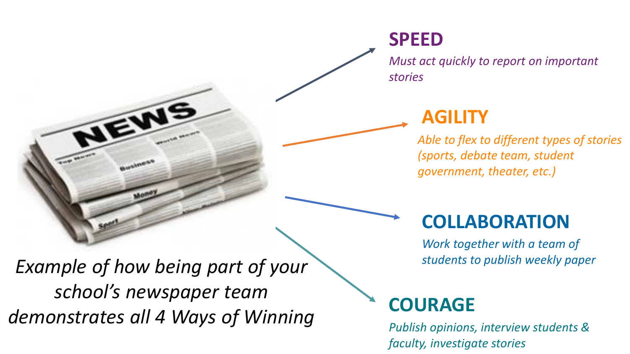*Must act quickly to report on important stories*

## **AGILITY**

**SPEED**

*Able to flex to different types of stories (sports, debate team, student government, theater, etc.)*

## **COLLABORATION**

*Work together with a team of students to publish weekly paper*

## **COURAGE**

*Publish opinions, interview students & faculty, investigate stories*

*Example of how being part of your school's newspaper team demonstrates all 4 Ways of Winning*